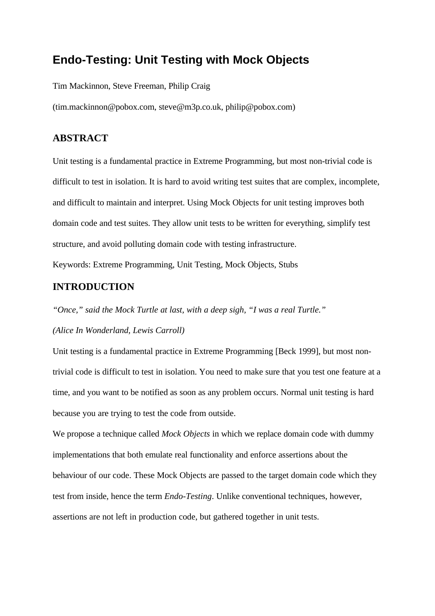# **Endo-Testing: Unit Testing with Mock Objects**

Tim Mackinnon, Steve Freeman, Philip Craig

(tim.mackinnon@pobox.com, steve@m3p.co.uk, philip@pobox.com)

## **ABSTRACT**

Unit testing is a fundamental practice in Extreme Programming, but most non-trivial code is difficult to test in isolation. It is hard to avoid writing test suites that are complex, incomplete, and difficult to maintain and interpret. Using Mock Objects for unit testing improves both domain code and test suites. They allow unit tests to be written for everything, simplify test structure, and avoid polluting domain code with testing infrastructure.

Keywords: Extreme Programming, Unit Testing, Mock Objects, Stubs

## **INTRODUCTION**

*"Once," said the Mock Turtle at last, with a deep sigh, "I was a real Turtle."*

#### *(Alice In Wonderland, Lewis Carroll)*

Unit testing is a fundamental practice in Extreme Programming [Beck 1999], but most nontrivial code is difficult to test in isolation. You need to make sure that you test one feature at a time, and you want to be notified as soon as any problem occurs. Normal unit testing is hard because you are trying to test the code from outside.

We propose a technique called *Mock Objects* in which we replace domain code with dummy implementations that both emulate real functionality and enforce assertions about the behaviour of our code. These Mock Objects are passed to the target domain code which they test from inside, hence the term *Endo-Testing*. Unlike conventional techniques, however, assertions are not left in production code, but gathered together in unit tests.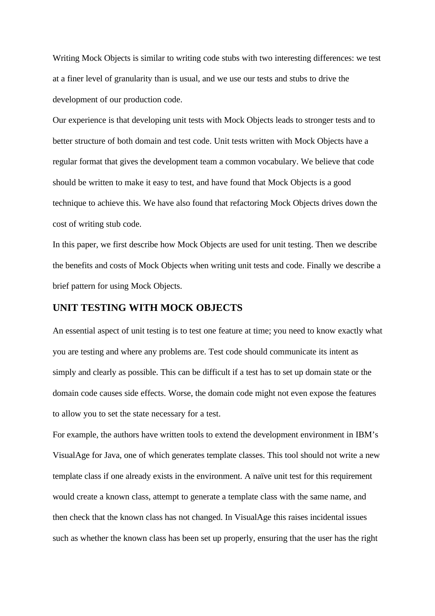Writing Mock Objects is similar to writing code stubs with two interesting differences: we test at a finer level of granularity than is usual, and we use our tests and stubs to drive the development of our production code.

Our experience is that developing unit tests with Mock Objects leads to stronger tests and to better structure of both domain and test code. Unit tests written with Mock Objects have a regular format that gives the development team a common vocabulary. We believe that code should be written to make it easy to test, and have found that Mock Objects is a good technique to achieve this. We have also found that refactoring Mock Objects drives down the cost of writing stub code.

In this paper, we first describe how Mock Objects are used for unit testing. Then we describe the benefits and costs of Mock Objects when writing unit tests and code. Finally we describe a brief pattern for using Mock Objects.

#### **UNIT TESTING WITH MOCK OBJECTS**

An essential aspect of unit testing is to test one feature at time; you need to know exactly what you are testing and where any problems are. Test code should communicate its intent as simply and clearly as possible. This can be difficult if a test has to set up domain state or the domain code causes side effects. Worse, the domain code might not even expose the features to allow you to set the state necessary for a test.

For example, the authors have written tools to extend the development environment in IBM's VisualAge for Java, one of which generates template classes. This tool should not write a new template class if one already exists in the environment. A naïve unit test for this requirement would create a known class, attempt to generate a template class with the same name, and then check that the known class has not changed. In VisualAge this raises incidental issues such as whether the known class has been set up properly, ensuring that the user has the right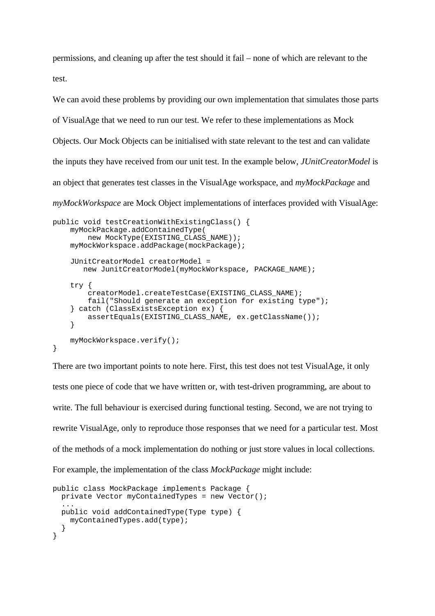permissions, and cleaning up after the test should it fail – none of which are relevant to the test.

We can avoid these problems by providing our own implementation that simulates those parts of VisualAge that we need to run our test. We refer to these implementations as Mock Objects. Our Mock Objects can be initialised with state relevant to the test and can validate the inputs they have received from our unit test. In the example below, *JUnitCreatorModel* is an object that generates test classes in the VisualAge workspace, and *myMockPackage* and *myMockWorkspace* are Mock Object implementations of interfaces provided with VisualAge:

```
public void testCreationWithExistingClass() {
     myMockPackage.addContainedType(
        new MockType(EXISTING CLASS NAME));
     myMockWorkspace.addPackage(mockPackage);
     JUnitCreatorModel creatorModel =
      new JunitCreatorModel(myMockWorkspace, PACKAGE_NAME);
     try {
         creatorModel.createTestCase(EXISTING_CLASS_NAME);
         fail("Should generate an exception for existing type");
     } catch (ClassExistsException ex) {
         assertEquals(EXISTING_CLASS_NAME, ex.getClassName());
 }
    myMockWorkspace.verify();
}
```
There are two important points to note here. First, this test does not test VisualAge, it only tests one piece of code that we have written or, with test-driven programming, are about to write. The full behaviour is exercised during functional testing. Second, we are not trying to rewrite VisualAge, only to reproduce those responses that we need for a particular test. Most of the methods of a mock implementation do nothing or just store values in local collections. For example, the implementation of the class *MockPackage* might include:

```
public class MockPackage implements Package {
   private Vector myContainedTypes = new Vector();
 ...
   public void addContainedType(Type type) {
     myContainedTypes.add(type);
   }
}
```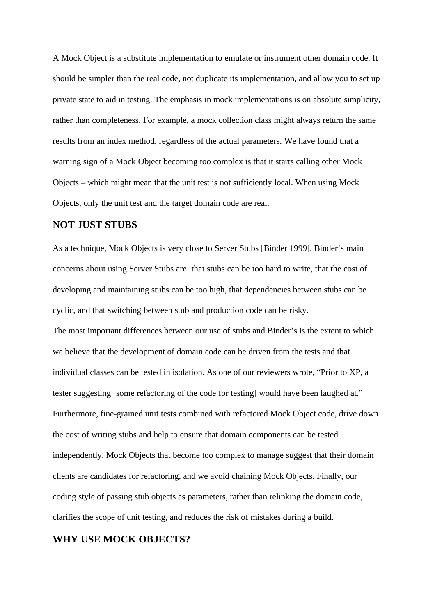A Mock Object is a substitute implementation to emulate or instrument other domain code. It should be simpler than the real code, not duplicate its implementation, and allow you to set up private state to aid in testing. The emphasis in mock implementations is on absolute simplicity, rather than completeness. For example, a mock collection class might always return the same results from an index method, regardless of the actual parameters. We have found that a warning sign of a Mock Object becoming too complex is that it starts calling other Mock Objects – which might mean that the unit test is not sufficiently local. When using Mock Objects, only the unit test and the target domain code are real.

## **NOT JUST STUBS**

As a technique, Mock Objects is very close to Server Stubs [Binder 1999]. Binder's main concerns about using Server Stubs are: that stubs can be too hard to write, that the cost of developing and maintaining stubs can be too high, that dependencies between stubs can be cyclic, and that switching between stub and production code can be risky.

The most important differences between our use of stubs and Binder's is the extent to which we believe that the development of domain code can be driven from the tests and that individual classes can be tested in isolation. As one of our reviewers wrote, "Prior to XP, a tester suggesting [some refactoring of the code for testing] would have been laughed at." Furthermore, fine-grained unit tests combined with refactored Mock Object code, drive down the cost of writing stubs and help to ensure that domain components can be tested independently. Mock Objects that become too complex to manage suggest that their domain clients are candidates for refactoring, and we avoid chaining Mock Objects. Finally, our coding style of passing stub objects as parameters, rather than relinking the domain code, clarifies the scope of unit testing, and reduces the risk of mistakes during a build.

## **WHY USE MOCK OBJECTS?**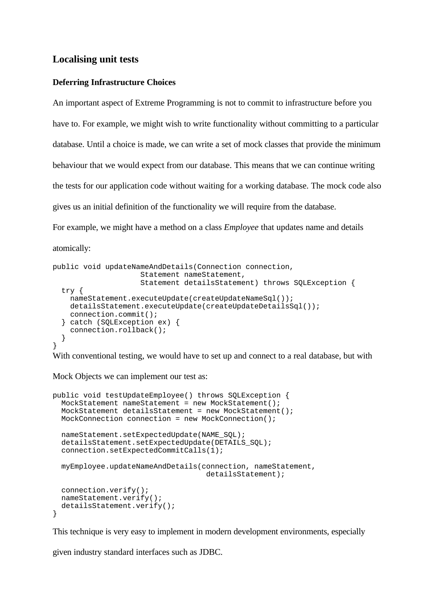## **Localising unit tests**

#### **Deferring Infrastructure Choices**

An important aspect of Extreme Programming is not to commit to infrastructure before you have to. For example, we might wish to write functionality without committing to a particular database. Until a choice is made, we can write a set of mock classes that provide the minimum behaviour that we would expect from our database. This means that we can continue writing the tests for our application code without waiting for a working database. The mock code also gives us an initial definition of the functionality we will require from the database.

For example, we might have a method on a class *Employee* that updates name and details

atomically:

```
public void updateNameAndDetails(Connection connection,
                     Statement nameStatement,
                    Statement detailsStatement) throws SQLException {
   try {
    nameStatement.executeUpdate(createUpdateNameSql());
    detailsStatement.executeUpdate(createUpdateDetailsSql());
    connection.commit();
   } catch (SQLException ex) {
     connection.rollback();
   }
}
```
With conventional testing, we would have to set up and connect to a real database, but with

Mock Objects we can implement our test as:

```
public void testUpdateEmployee() throws SQLException {
  MockStatement nameStatement = new MockStatement();
   MockStatement detailsStatement = new MockStatement();
  MockConnection connection = new MockConnection();
   nameStatement.setExpectedUpdate(NAME_SQL);
   detailsStatement.setExpectedUpdate(DETAILS_SQL);
   connection.setExpectedCommitCalls(1);
   myEmployee.updateNameAndDetails(connection, nameStatement,
                                     detailsStatement);
   connection.verify();
   nameStatement.verify();
   detailsStatement.verify();
}
```
This technique is very easy to implement in modern development environments, especially

given industry standard interfaces such as JDBC.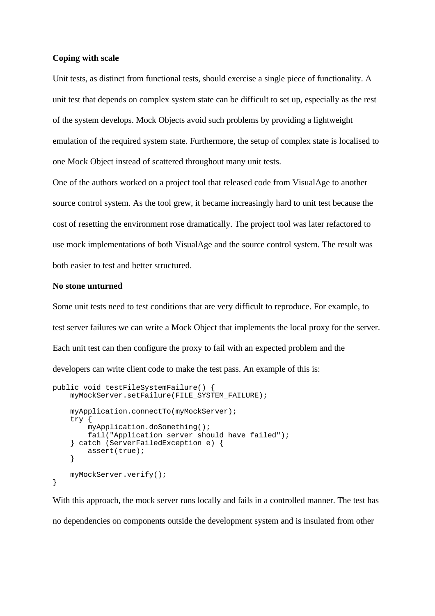#### **Coping with scale**

Unit tests, as distinct from functional tests, should exercise a single piece of functionality. A unit test that depends on complex system state can be difficult to set up, especially as the rest of the system develops. Mock Objects avoid such problems by providing a lightweight emulation of the required system state. Furthermore, the setup of complex state is localised to one Mock Object instead of scattered throughout many unit tests.

One of the authors worked on a project tool that released code from VisualAge to another source control system. As the tool grew, it became increasingly hard to unit test because the cost of resetting the environment rose dramatically. The project tool was later refactored to use mock implementations of both VisualAge and the source control system. The result was both easier to test and better structured.

#### **No stone unturned**

Some unit tests need to test conditions that are very difficult to reproduce. For example, to test server failures we can write a Mock Object that implements the local proxy for the server. Each unit test can then configure the proxy to fail with an expected problem and the developers can write client code to make the test pass. An example of this is:

```
public void testFileSystemFailure() {
     myMockServer.setFailure(FILE_SYSTEM_FAILURE);
     myApplication.connectTo(myMockServer);
     try {
         myApplication.doSomething();
         fail("Application server should have failed");
     } catch (ServerFailedException e) {
         assert(true);
     }
     myMockServer.verify();
}
```
With this approach, the mock server runs locally and fails in a controlled manner. The test has no dependencies on components outside the development system and is insulated from other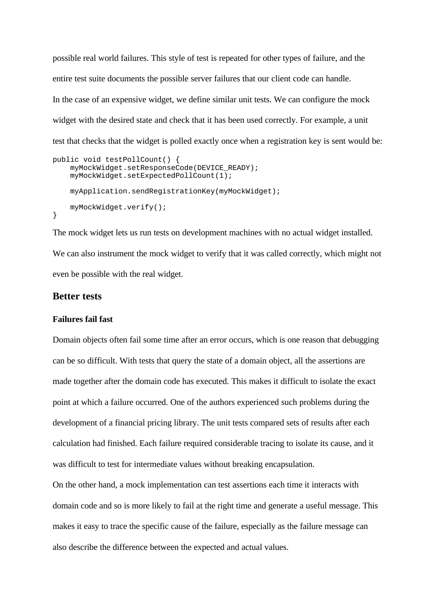possible real world failures. This style of test is repeated for other types of failure, and the entire test suite documents the possible server failures that our client code can handle. In the case of an expensive widget, we define similar unit tests. We can configure the mock widget with the desired state and check that it has been used correctly. For example, a unit test that checks that the widget is polled exactly once when a registration key is sent would be: public void testPollCount() { myMockWidget.setResponseCode(DEVICE\_READY); myMockWidget.setExpectedPollCount(1); myApplication.sendRegistrationKey(myMockWidget); myMockWidget.verify(); }

The mock widget lets us run tests on development machines with no actual widget installed. We can also instrument the mock widget to verify that it was called correctly, which might not even be possible with the real widget.

#### **Better tests**

#### **Failures fail fast**

Domain objects often fail some time after an error occurs, which is one reason that debugging can be so difficult. With tests that query the state of a domain object, all the assertions are made together after the domain code has executed. This makes it difficult to isolate the exact point at which a failure occurred. One of the authors experienced such problems during the development of a financial pricing library. The unit tests compared sets of results after each calculation had finished. Each failure required considerable tracing to isolate its cause, and it was difficult to test for intermediate values without breaking encapsulation.

On the other hand, a mock implementation can test assertions each time it interacts with domain code and so is more likely to fail at the right time and generate a useful message. This makes it easy to trace the specific cause of the failure, especially as the failure message can also describe the difference between the expected and actual values.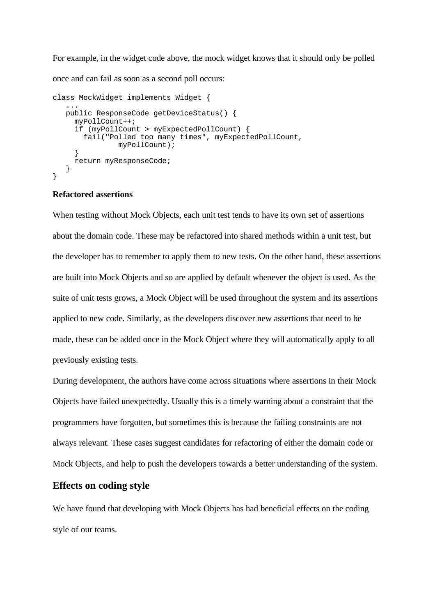For example, in the widget code above, the mock widget knows that it should only be polled

once and can fail as soon as a second poll occurs:

```
class MockWidget implements Widget {
 ...
    public ResponseCode getDeviceStatus() {
      myPollCount++;
      if (myPollCount > myExpectedPollCount) {
        fail("Polled too many times", myExpectedPollCount,
                myPollCount);
      }
      return myResponseCode;
    }
}
```
#### **Refactored assertions**

When testing without Mock Objects, each unit test tends to have its own set of assertions about the domain code. These may be refactored into shared methods within a unit test, but the developer has to remember to apply them to new tests. On the other hand, these assertions are built into Mock Objects and so are applied by default whenever the object is used. As the suite of unit tests grows, a Mock Object will be used throughout the system and its assertions applied to new code. Similarly, as the developers discover new assertions that need to be made, these can be added once in the Mock Object where they will automatically apply to all previously existing tests.

During development, the authors have come across situations where assertions in their Mock Objects have failed unexpectedly. Usually this is a timely warning about a constraint that the programmers have forgotten, but sometimes this is because the failing constraints are not always relevant. These cases suggest candidates for refactoring of either the domain code or Mock Objects, and help to push the developers towards a better understanding of the system.

## **Effects on coding style**

We have found that developing with Mock Objects has had beneficial effects on the coding style of our teams.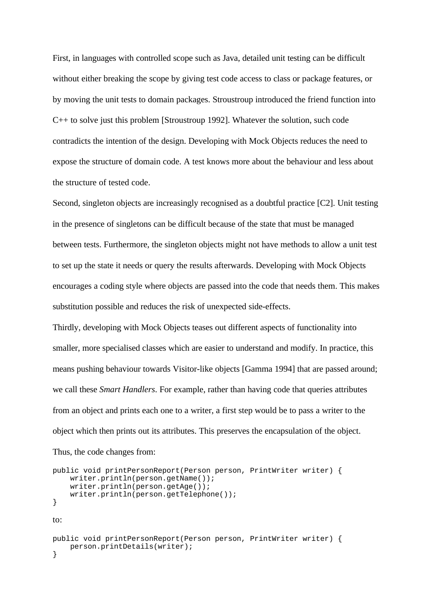First, in languages with controlled scope such as Java, detailed unit testing can be difficult without either breaking the scope by giving test code access to class or package features, or by moving the unit tests to domain packages. Stroustroup introduced the friend function into C++ to solve just this problem [Stroustroup 1992]. Whatever the solution, such code contradicts the intention of the design. Developing with Mock Objects reduces the need to expose the structure of domain code. A test knows more about the behaviour and less about the structure of tested code.

Second, singleton objects are increasingly recognised as a doubtful practice [C2]. Unit testing in the presence of singletons can be difficult because of the state that must be managed between tests. Furthermore, the singleton objects might not have methods to allow a unit test to set up the state it needs or query the results afterwards. Developing with Mock Objects encourages a coding style where objects are passed into the code that needs them. This makes substitution possible and reduces the risk of unexpected side-effects.

Thirdly, developing with Mock Objects teases out different aspects of functionality into smaller, more specialised classes which are easier to understand and modify. In practice, this means pushing behaviour towards Visitor-like objects [Gamma 1994] that are passed around; we call these *Smart Handlers*. For example, rather than having code that queries attributes from an object and prints each one to a writer, a first step would be to pass a writer to the object which then prints out its attributes. This preserves the encapsulation of the object.

Thus, the code changes from:

```
public void printPersonReport(Person person, PrintWriter writer) {
     writer.println(person.getName());
     writer.println(person.getAge());
     writer.println(person.getTelephone());
}
to:
public void printPersonReport(Person person, PrintWriter writer) {
    person.printDetails(writer);
}
```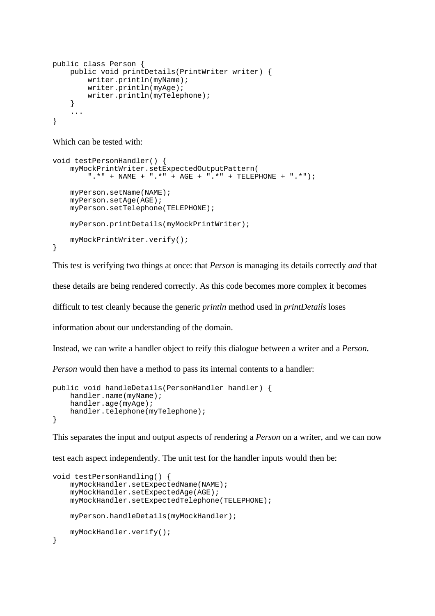```
public class Person {
     public void printDetails(PrintWriter writer) {
         writer.println(myName);
         writer.println(myAge);
         writer.println(myTelephone);
     }
     ...
}
```
Which can be tested with:

```
void testPersonHandler() {
     myMockPrintWriter.setExpectedOutputPattern(
        ".*" + NAME + ".*" + AGE + ".*" + TELEPHONE + ".*");
     myPerson.setName(NAME);
     myPerson.setAge(AGE);
     myPerson.setTelephone(TELEPHONE);
     myPerson.printDetails(myMockPrintWriter);
     myMockPrintWriter.verify();
}
```
This test is verifying two things at once: that *Person* is managing its details correctly *and* that

these details are being rendered correctly. As this code becomes more complex it becomes

difficult to test cleanly because the generic *println* method used in *printDetails* loses

information about our understanding of the domain.

Instead, we can write a handler object to reify this dialogue between a writer and a *Person*.

*Person* would then have a method to pass its internal contents to a handler:

```
public void handleDetails(PersonHandler handler) {
     handler.name(myName);
     handler.age(myAge);
     handler.telephone(myTelephone);
}
```
This separates the input and output aspects of rendering a *Person* on a writer, and we can now

test each aspect independently. The unit test for the handler inputs would then be:

```
void testPersonHandling() {
     myMockHandler.setExpectedName(NAME);
     myMockHandler.setExpectedAge(AGE);
     myMockHandler.setExpectedTelephone(TELEPHONE);
     myPerson.handleDetails(myMockHandler);
    myMockHandler.verify();
}
```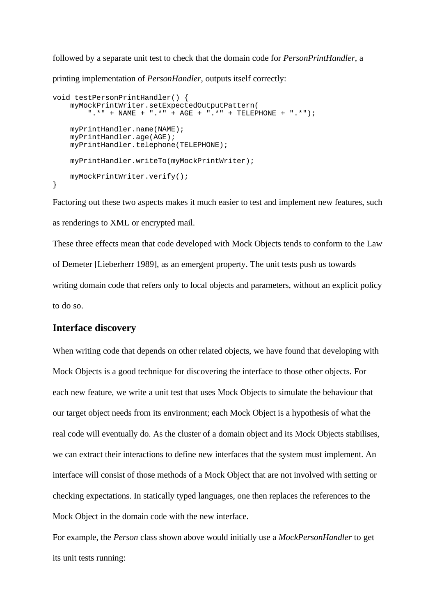followed by a separate unit test to check that the domain code for *PersonPrintHandler*, a

printing implementation of *PersonHandler*, outputs itself correctly:

```
void testPersonPrintHandler() {
     myMockPrintWriter.setExpectedOutputPattern(
        ".*" + NAME + ".*" + AGE + ".*" + TELEPHONE + ".*");
     myPrintHandler.name(NAME);
     myPrintHandler.age(AGE);
     myPrintHandler.telephone(TELEPHONE);
     myPrintHandler.writeTo(myMockPrintWriter);
     myMockPrintWriter.verify();
}
```
Factoring out these two aspects makes it much easier to test and implement new features, such as renderings to XML or encrypted mail.

These three effects mean that code developed with Mock Objects tends to conform to the Law of Demeter [Lieberherr 1989], as an emergent property. The unit tests push us towards writing domain code that refers only to local objects and parameters, without an explicit policy to do so.

### **Interface discovery**

When writing code that depends on other related objects, we have found that developing with Mock Objects is a good technique for discovering the interface to those other objects. For each new feature, we write a unit test that uses Mock Objects to simulate the behaviour that our target object needs from its environment; each Mock Object is a hypothesis of what the real code will eventually do. As the cluster of a domain object and its Mock Objects stabilises, we can extract their interactions to define new interfaces that the system must implement. An interface will consist of those methods of a Mock Object that are not involved with setting or checking expectations. In statically typed languages, one then replaces the references to the Mock Object in the domain code with the new interface.

For example, the *Person* class shown above would initially use a *MockPersonHandler* to get its unit tests running: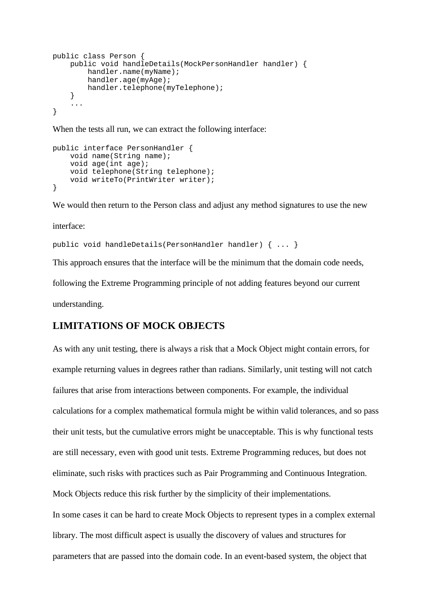```
public class Person {
     public void handleDetails(MockPersonHandler handler) {
         handler.name(myName);
         handler.age(myAge);
        handler.telephone(myTelephone);
     }
     ...
}
```
When the tests all run, we can extract the following interface:

```
public interface PersonHandler {
     void name(String name);
     void age(int age);
     void telephone(String telephone);
     void writeTo(PrintWriter writer);
}
```
We would then return to the Person class and adjust any method signatures to use the new interface: public void handleDetails(PersonHandler handler) { ... }

This approach ensures that the interface will be the minimum that the domain code needs, following the Extreme Programming principle of not adding features beyond our current understanding.

## **LIMITATIONS OF MOCK OBJECTS**

As with any unit testing, there is always a risk that a Mock Object might contain errors, for example returning values in degrees rather than radians. Similarly, unit testing will not catch failures that arise from interactions between components. For example, the individual calculations for a complex mathematical formula might be within valid tolerances, and so pass their unit tests, but the cumulative errors might be unacceptable. This is why functional tests are still necessary, even with good unit tests. Extreme Programming reduces, but does not eliminate, such risks with practices such as Pair Programming and Continuous Integration. Mock Objects reduce this risk further by the simplicity of their implementations. In some cases it can be hard to create Mock Objects to represent types in a complex external library. The most difficult aspect is usually the discovery of values and structures for parameters that are passed into the domain code. In an event-based system, the object that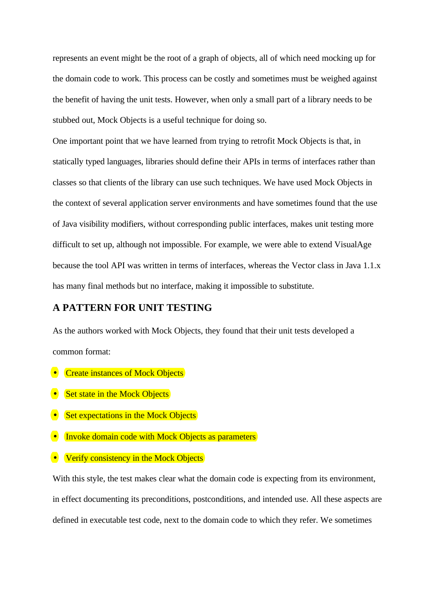represents an event might be the root of a graph of objects, all of which need mocking up for the domain code to work. This process can be costly and sometimes must be weighed against the benefit of having the unit tests. However, when only a small part of a library needs to be stubbed out, Mock Objects is a useful technique for doing so.

One important point that we have learned from trying to retrofit Mock Objects is that, in statically typed languages, libraries should define their APIs in terms of interfaces rather than classes so that clients of the library can use such techniques. We have used Mock Objects in the context of several application server environments and have sometimes found that the use of Java visibility modifiers, without corresponding public interfaces, makes unit testing more difficult to set up, although not impossible. For example, we were able to extend VisualAge because the tool API was written in terms of interfaces, whereas the Vector class in Java 1.1.x has many final methods but no interface, making it impossible to substitute.

## **A PATTERN FOR UNIT TESTING**

As the authors worked with Mock Objects, they found that their unit tests developed a common format:

- Create instances of Mock Objects
- Set state in the Mock Objects
- Set expectations in the Mock Objects
- Invoke domain code with Mock Objects as parameters
- Verify consistency in the Mock Objects

With this style, the test makes clear what the domain code is expecting from its environment, in effect documenting its preconditions, postconditions, and intended use. All these aspects are defined in executable test code, next to the domain code to which they refer. We sometimes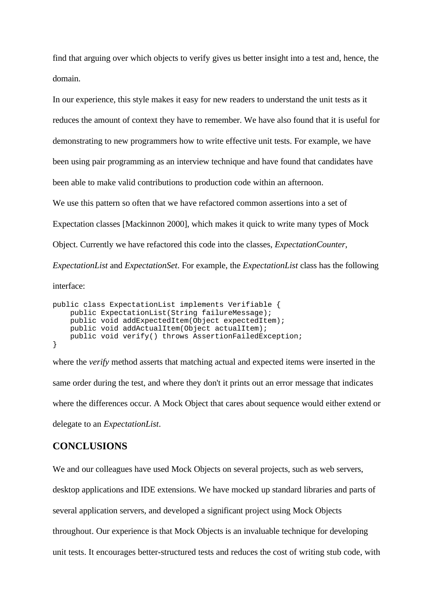find that arguing over which objects to verify gives us better insight into a test and, hence, the domain.

In our experience, this style makes it easy for new readers to understand the unit tests as it reduces the amount of context they have to remember. We have also found that it is useful for demonstrating to new programmers how to write effective unit tests. For example, we have been using pair programming as an interview technique and have found that candidates have been able to make valid contributions to production code within an afternoon. We use this pattern so often that we have refactored common assertions into a set of Expectation classes [Mackinnon 2000], which makes it quick to write many types of Mock Object. Currently we have refactored this code into the classes, *ExpectationCounter*,

*ExpectationList* and *ExpectationSet*. For example, the *ExpectationList* class has the following

interface:

```
public class ExpectationList implements Verifiable {
     public ExpectationList(String failureMessage);
    public void addExpectedItem(Object expectedItem);
     public void addActualItem(Object actualItem);
     public void verify() throws AssertionFailedException;
}
```
where the *verify* method asserts that matching actual and expected items were inserted in the same order during the test, and where they don't it prints out an error message that indicates where the differences occur. A Mock Object that cares about sequence would either extend or delegate to an *ExpectationList*.

## **CONCLUSIONS**

We and our colleagues have used Mock Objects on several projects, such as web servers, desktop applications and IDE extensions. We have mocked up standard libraries and parts of several application servers, and developed a significant project using Mock Objects throughout. Our experience is that Mock Objects is an invaluable technique for developing unit tests. It encourages better-structured tests and reduces the cost of writing stub code, with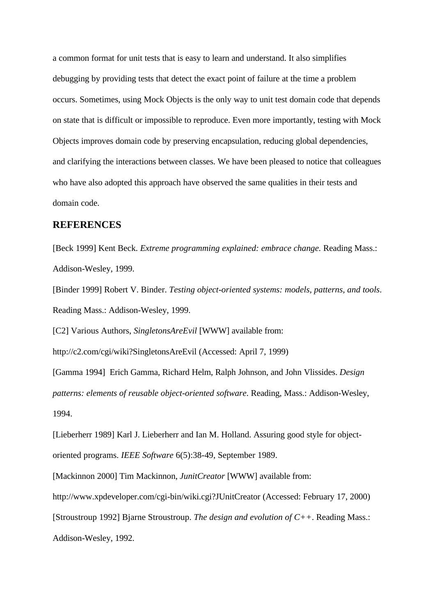a common format for unit tests that is easy to learn and understand. It also simplifies debugging by providing tests that detect the exact point of failure at the time a problem occurs. Sometimes, using Mock Objects is the only way to unit test domain code that depends on state that is difficult or impossible to reproduce. Even more importantly, testing with Mock Objects improves domain code by preserving encapsulation, reducing global dependencies, and clarifying the interactions between classes. We have been pleased to notice that colleagues who have also adopted this approach have observed the same qualities in their tests and domain code.

### **REFERENCES**

[Beck 1999] Kent Beck. *Extreme programming explained: embrace change.* Reading Mass.: Addison-Wesley, 1999.

[Binder 1999] Robert V. Binder. *Testing object-oriented systems: models, patterns, and tools*. Reading Mass.: Addison-Wesley, 1999.

[C2] Various Authors, *SingletonsAreEvil* [WWW] available from:

http://c2.com/cgi/wiki?SingletonsAreEvil (Accessed: April 7, 1999)

[Gamma 1994] Erich Gamma, Richard Helm, Ralph Johnson, and John Vlissides. *Design patterns: elements of reusable object-oriented software*. Reading, Mass.: Addison-Wesley, 1994.

[Lieberherr 1989] Karl J. Lieberherr and Ian M. Holland. Assuring good style for objectoriented programs. *IEEE Software* 6(5):38-49, September 1989.

[Mackinnon 2000] Tim Mackinnon, *JunitCreator* [WWW] available from:

http://www.xpdeveloper.com/cgi-bin/wiki.cgi?JUnitCreator (Accessed: February 17, 2000)

[Stroustroup 1992] Bjarne Stroustroup. *The design and evolution of C++*. Reading Mass.: Addison-Wesley, 1992.